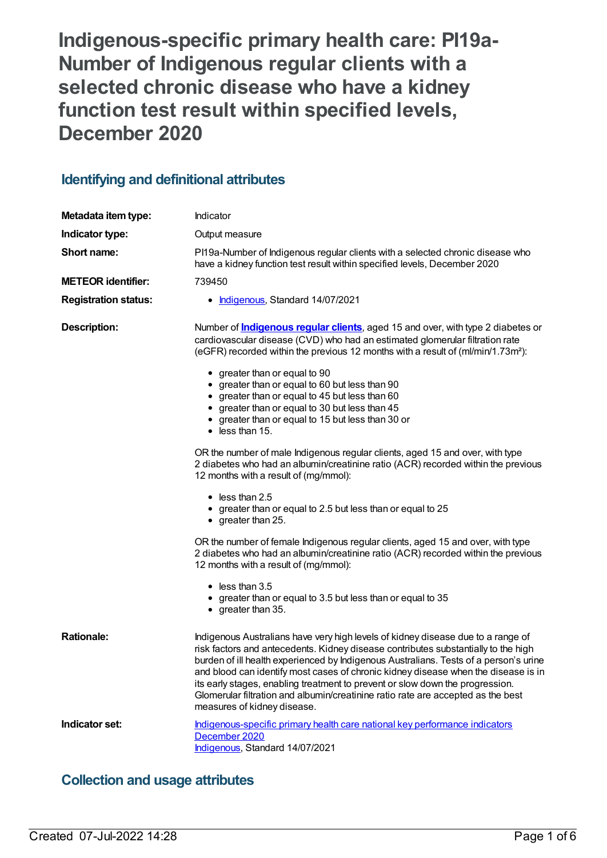**Indigenous-specific primary health care: PI19a-Number of Indigenous regular clients with a selected chronic disease who have a kidney function test result within specified levels, December 2020**

# **Identifying and definitional attributes**

| Metadata item type:         | Indicator                                                                                                                                                                                                                                                                                                                                                                                                                                                                                                                                                                                                                                                                                                                                                                                                                                                                                                                                                                                                                                                                                                                                                                                                                      |
|-----------------------------|--------------------------------------------------------------------------------------------------------------------------------------------------------------------------------------------------------------------------------------------------------------------------------------------------------------------------------------------------------------------------------------------------------------------------------------------------------------------------------------------------------------------------------------------------------------------------------------------------------------------------------------------------------------------------------------------------------------------------------------------------------------------------------------------------------------------------------------------------------------------------------------------------------------------------------------------------------------------------------------------------------------------------------------------------------------------------------------------------------------------------------------------------------------------------------------------------------------------------------|
| Indicator type:             | Output measure                                                                                                                                                                                                                                                                                                                                                                                                                                                                                                                                                                                                                                                                                                                                                                                                                                                                                                                                                                                                                                                                                                                                                                                                                 |
| Short name:                 | PI19a-Number of Indigenous regular clients with a selected chronic disease who<br>have a kidney function test result within specified levels, December 2020                                                                                                                                                                                                                                                                                                                                                                                                                                                                                                                                                                                                                                                                                                                                                                                                                                                                                                                                                                                                                                                                    |
| <b>METEOR identifier:</b>   | 739450                                                                                                                                                                                                                                                                                                                                                                                                                                                                                                                                                                                                                                                                                                                                                                                                                                                                                                                                                                                                                                                                                                                                                                                                                         |
| <b>Registration status:</b> | • Indigenous, Standard 14/07/2021                                                                                                                                                                                                                                                                                                                                                                                                                                                                                                                                                                                                                                                                                                                                                                                                                                                                                                                                                                                                                                                                                                                                                                                              |
| <b>Description:</b>         | Number of <b>Indigenous regular clients</b> , aged 15 and over, with type 2 diabetes or<br>cardiovascular disease (CVD) who had an estimated glomerular filtration rate<br>(eGFR) recorded within the previous 12 months with a result of (ml/min/1.73m <sup>2</sup> ):<br>• greater than or equal to 90<br>• greater than or equal to 60 but less than 90<br>• greater than or equal to 45 but less than 60<br>• greater than or equal to 30 but less than 45<br>• greater than or equal to 15 but less than 30 or<br>$\bullet$ less than 15.<br>OR the number of male Indigenous regular clients, aged 15 and over, with type<br>2 diabetes who had an albumin/creatinine ratio (ACR) recorded within the previous<br>12 months with a result of (mg/mmol):<br>$\bullet$ less than 2.5<br>• greater than or equal to 2.5 but less than or equal to 25<br>$\bullet$ greater than 25.<br>OR the number of female Indigenous regular clients, aged 15 and over, with type<br>2 diabetes who had an albumin/creatinine ratio (ACR) recorded within the previous<br>12 months with a result of (mg/mmol):<br>$\bullet$ less than 3.5<br>• greater than or equal to 3.5 but less than or equal to 35<br>$\bullet$ greater than 35. |
| <b>Rationale:</b>           | Indigenous Australians have very high levels of kidney disease due to a range of<br>risk factors and antecedents. Kidney disease contributes substantially to the high<br>burden of ill health experienced by Indigenous Australians. Tests of a person's urine<br>and blood can identify most cases of chronic kidney disease when the disease is in<br>its early stages, enabling treatment to prevent or slow down the progression.<br>Glomerular filtration and albumin/creatinine ratio rate are accepted as the best<br>measures of kidney disease.                                                                                                                                                                                                                                                                                                                                                                                                                                                                                                                                                                                                                                                                      |
| Indicator set:              | Indigenous-specific primary health care national key performance indicators<br>December 2020<br>Indigenous, Standard 14/07/2021                                                                                                                                                                                                                                                                                                                                                                                                                                                                                                                                                                                                                                                                                                                                                                                                                                                                                                                                                                                                                                                                                                |

# **Collection and usage attributes**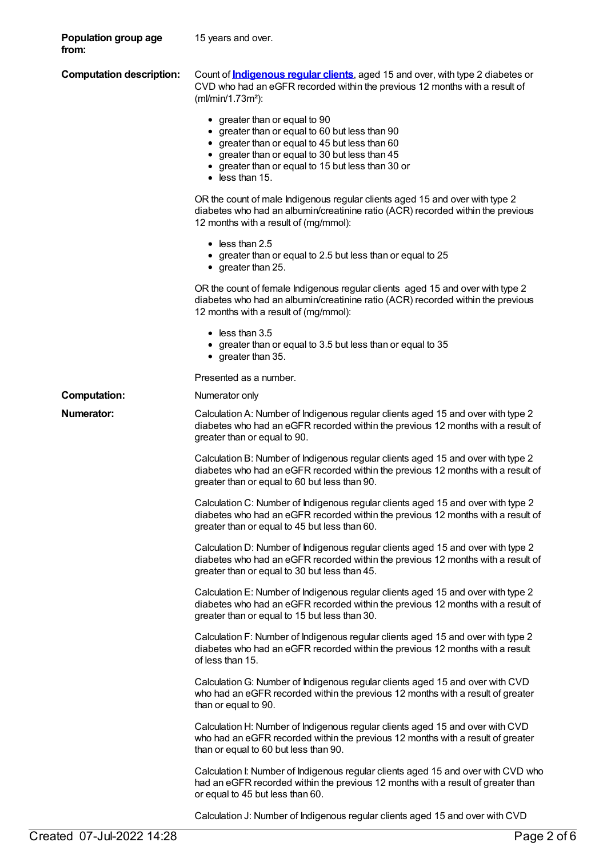| Population group age<br>from:   | 15 years and over.                                                                                                                                                                                                                                                  |
|---------------------------------|---------------------------------------------------------------------------------------------------------------------------------------------------------------------------------------------------------------------------------------------------------------------|
| <b>Computation description:</b> | Count of <b>Indigenous regular clients</b> , aged 15 and over, with type 2 diabetes or<br>CVD who had an eGFR recorded within the previous 12 months with a result of<br>(ml/min/1.73m <sup>2</sup> ):                                                              |
|                                 | • greater than or equal to 90<br>• greater than or equal to 60 but less than 90<br>• greater than or equal to 45 but less than 60<br>• greater than or equal to 30 but less than 45<br>• greater than or equal to 15 but less than 30 or<br>$\bullet$ less than 15. |
|                                 | OR the count of male Indigenous regular clients aged 15 and over with type 2<br>diabetes who had an albumin/creatinine ratio (ACR) recorded within the previous<br>12 months with a result of (mg/mmol):                                                            |
|                                 | $\bullet$ less than 2.5<br>• greater than or equal to 2.5 but less than or equal to 25<br>$\bullet$ greater than 25.                                                                                                                                                |
|                                 | OR the count of female Indigenous regular clients aged 15 and over with type 2<br>diabetes who had an albumin/creatinine ratio (ACR) recorded within the previous<br>12 months with a result of (mg/mmol):                                                          |
|                                 | $\bullet$ less than 3.5<br>• greater than or equal to 3.5 but less than or equal to 35<br>$\bullet$ greater than 35.                                                                                                                                                |
|                                 | Presented as a number.                                                                                                                                                                                                                                              |
| <b>Computation:</b>             | Numerator only                                                                                                                                                                                                                                                      |
| <b>Numerator:</b>               | Calculation A: Number of Indigenous regular clients aged 15 and over with type 2<br>diabetes who had an eGFR recorded within the previous 12 months with a result of<br>greater than or equal to 90.                                                                |
|                                 | Calculation B: Number of Indigenous regular clients aged 15 and over with type 2<br>diabetes who had an eGFR recorded within the previous 12 months with a result of<br>greater than or equal to 60 but less than 90.                                               |
|                                 | Calculation C: Number of Indigenous regular clients aged 15 and over with type 2<br>diabetes who had an eGFR recorded within the previous 12 months with a result of<br>greater than or equal to 45 but less than 60.                                               |
|                                 | Calculation D: Number of Indigenous regular clients aged 15 and over with type 2<br>diabetes who had an eGFR recorded within the previous 12 months with a result of<br>greater than or equal to 30 but less than 45.                                               |
|                                 | Calculation E: Number of Indigenous regular clients aged 15 and over with type 2<br>diabetes who had an eGFR recorded within the previous 12 months with a result of<br>greater than or equal to 15 but less than 30.                                               |
|                                 | Calculation F: Number of Indigenous regular clients aged 15 and over with type 2<br>diabetes who had an eGFR recorded within the previous 12 months with a result<br>of less than 15.                                                                               |
|                                 | Calculation G: Number of Indigenous regular clients aged 15 and over with CVD<br>who had an eGFR recorded within the previous 12 months with a result of greater<br>than or equal to 90.                                                                            |
|                                 | Calculation H: Number of Indigenous regular clients aged 15 and over with CVD<br>who had an eGFR recorded within the previous 12 months with a result of greater<br>than or equal to 60 but less than 90.                                                           |
|                                 | Calculation I: Number of Indigenous regular clients aged 15 and over with CVD who<br>had an eGFR recorded within the previous 12 months with a result of greater than<br>or equal to 45 but less than 60.                                                           |

Calculation J: Number of Indigenous regular clients aged 15 and over with CVD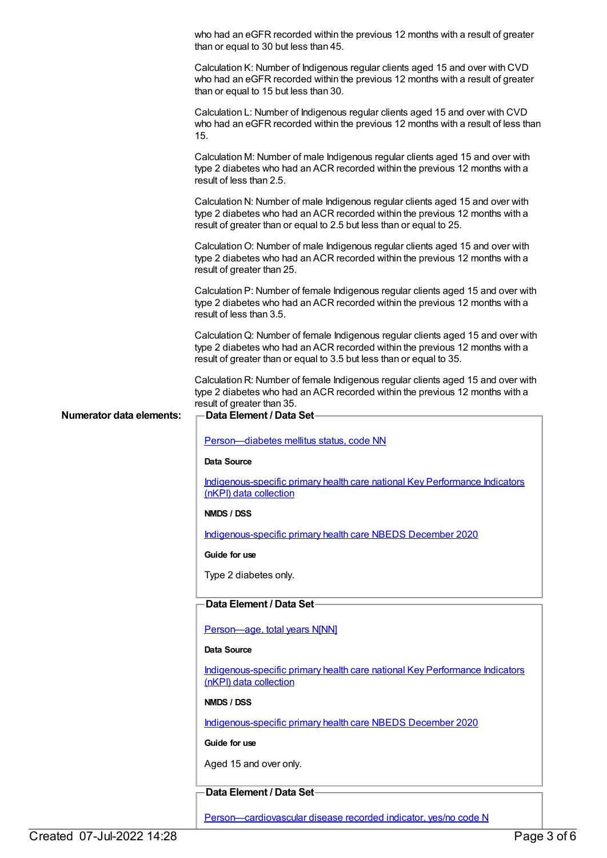|                                 | who had an eGFR recorded within the previous 12 months with a result of greater<br>than or equal to 30 but less than 45.                                                                                                                 |
|---------------------------------|------------------------------------------------------------------------------------------------------------------------------------------------------------------------------------------------------------------------------------------|
|                                 | Calculation K: Number of Indigenous regular clients aged 15 and over with CVD<br>who had an eGFR recorded within the previous 12 months with a result of greater<br>than or equal to 15 but less than 30.                                |
|                                 | Calculation L: Number of Indigenous regular clients aged 15 and over with CVD<br>who had an eGFR recorded within the previous 12 months with a result of less than<br>15.                                                                |
|                                 | Calculation M: Number of male Indigenous regular clients aged 15 and over with<br>type 2 diabetes who had an ACR recorded within the previous 12 months with a<br>result of less than 2.5.                                               |
|                                 | Calculation N: Number of male Indigenous regular clients aged 15 and over with<br>type 2 diabetes who had an ACR recorded within the previous 12 months with a<br>result of greater than or equal to 2.5 but less than or equal to 25.   |
|                                 | Calculation O: Number of male Indigenous regular clients aged 15 and over with<br>type 2 diabetes who had an ACR recorded within the previous 12 months with a<br>result of greater than 25.                                             |
|                                 | Calculation P: Number of female Indigenous regular clients aged 15 and over with<br>type 2 diabetes who had an ACR recorded within the previous 12 months with a<br>result of less than 3.5.                                             |
|                                 | Calculation Q: Number of female Indigenous regular clients aged 15 and over with<br>type 2 diabetes who had an ACR recorded within the previous 12 months with a<br>result of greater than or equal to 3.5 but less than or equal to 35. |
| <b>Numerator data elements:</b> | Calculation R: Number of female Indigenous regular clients aged 15 and over with<br>type 2 diabetes who had an ACR recorded within the previous 12 months with a<br>result of greater than 35.<br>Data Element / Data Set-               |
|                                 |                                                                                                                                                                                                                                          |
|                                 | Person-diabetes mellitus status, code NN                                                                                                                                                                                                 |
|                                 | Data Source                                                                                                                                                                                                                              |
|                                 | Indigenous-specific primary health care national Key Performance Indicators<br>(nKPI) data collection                                                                                                                                    |
|                                 | NMDS / DSS                                                                                                                                                                                                                               |
|                                 | Indigenous-specific primary health care NBEDS December 2020                                                                                                                                                                              |
|                                 | Guide for use                                                                                                                                                                                                                            |
|                                 | Type 2 diabetes only.                                                                                                                                                                                                                    |
|                                 | Data Element / Data Set-                                                                                                                                                                                                                 |
|                                 |                                                                                                                                                                                                                                          |
|                                 | Person-age, total years N[NN]                                                                                                                                                                                                            |
|                                 | Data Source                                                                                                                                                                                                                              |
|                                 | Indigenous-specific primary health care national Key Performance Indicators<br>(nKPI) data collection                                                                                                                                    |
|                                 | NMDS / DSS                                                                                                                                                                                                                               |
|                                 | Indigenous-specific primary health care NBEDS December 2020                                                                                                                                                                              |
|                                 | Guide for use                                                                                                                                                                                                                            |
|                                 | Aged 15 and over only.                                                                                                                                                                                                                   |
|                                 | Data Element / Data Set-                                                                                                                                                                                                                 |
|                                 | Person-cardiovascular disease recorded indicator, yes/no code N                                                                                                                                                                          |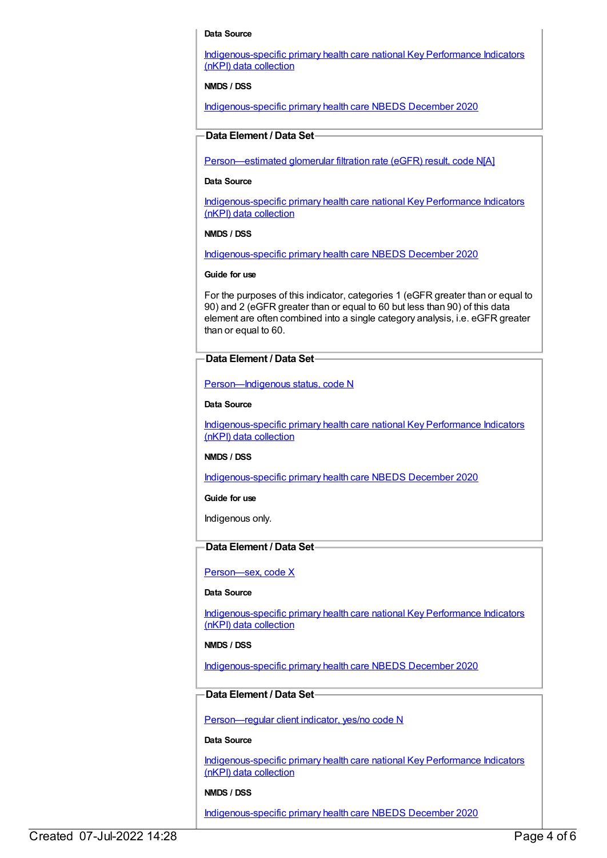### **Data Source**

[Indigenous-specific](https://meteor.aihw.gov.au/content/737914) primary health care national Key Performance Indicators (nKPI) data collection

**NMDS / DSS**

[Indigenous-specific](https://meteor.aihw.gov.au/content/738532) primary health care NBEDS December 2020

## **Data Element / Data Set**

[Person—estimated](https://meteor.aihw.gov.au/content/503010) glomerular filtration rate (eGFR) result, code N[A]

#### **Data Source**

[Indigenous-specific](https://meteor.aihw.gov.au/content/737914) primary health care national Key Performance Indicators (nKPI) data collection

## **NMDS / DSS**

[Indigenous-specific](https://meteor.aihw.gov.au/content/738532) primary health care NBEDS December 2020

## **Guide for use**

For the purposes of this indicator, categories 1 (eGFR greater than or equal to 90) and 2 (eGFR greater than or equal to 60 but less than 90) of this data element are often combined into a single category analysis, i.e. eGFR greater than or equal to 60.

## **Data Element / Data Set**

[Person—Indigenous](https://meteor.aihw.gov.au/content/602543) status, code N

## **Data Source**

[Indigenous-specific](https://meteor.aihw.gov.au/content/737914) primary health care national Key Performance Indicators (nKPI) data collection

## **NMDS / DSS**

[Indigenous-specific](https://meteor.aihw.gov.au/content/738532) primary health care NBEDS December 2020

**Guide for use**

Indigenous only.

## **Data Element / Data Set**

Person-sex, code X

#### **Data Source**

[Indigenous-specific](https://meteor.aihw.gov.au/content/737914) primary health care national Key Performance Indicators (nKPI) data collection

## **NMDS / DSS**

[Indigenous-specific](https://meteor.aihw.gov.au/content/738532) primary health care NBEDS December 2020

## **Data Element / Data Set**

[Person—regular](https://meteor.aihw.gov.au/content/686291) client indicator, yes/no code N

#### **Data Source**

[Indigenous-specific](https://meteor.aihw.gov.au/content/737914) primary health care national Key Performance Indicators (nKPI) data collection

## **NMDS / DSS**

[Indigenous-specific](https://meteor.aihw.gov.au/content/738532) primary health care NBEDS December 2020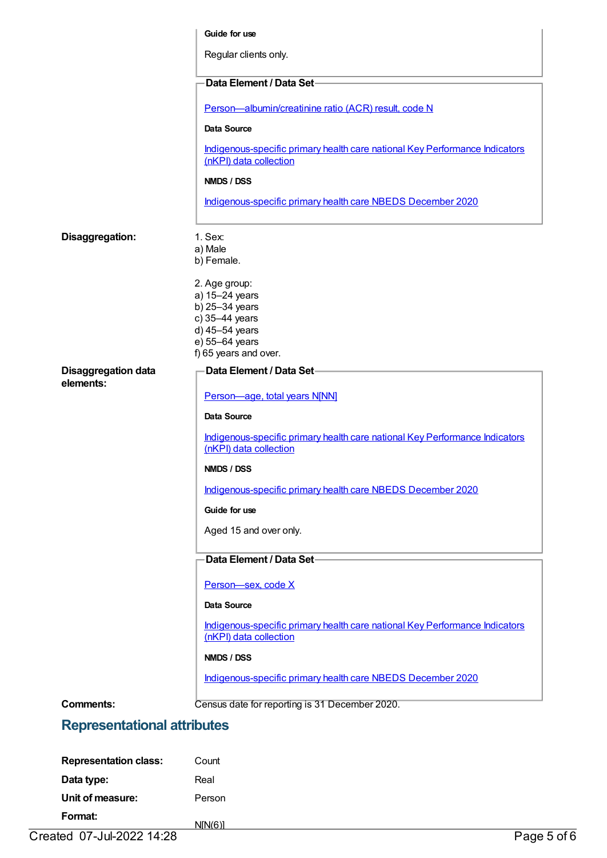|                                         | Guide for use                                                                                                                    |
|-----------------------------------------|----------------------------------------------------------------------------------------------------------------------------------|
|                                         | Regular clients only.                                                                                                            |
|                                         | Data Element / Data Set-                                                                                                         |
|                                         | Person-albumin/creatinine ratio (ACR) result, code N                                                                             |
|                                         | <b>Data Source</b>                                                                                                               |
|                                         | Indigenous-specific primary health care national Key Performance Indicators<br>(nKPI) data collection                            |
|                                         | NMDS / DSS                                                                                                                       |
|                                         | Indigenous-specific primary health care NBEDS December 2020                                                                      |
| Disaggregation:                         | 1. Sex:<br>a) Male<br>b) Female.                                                                                                 |
|                                         | 2. Age group:<br>a) 15-24 years<br>b) 25-34 years<br>c) 35-44 years<br>d) 45-54 years<br>e) 55-64 years<br>f) 65 years and over. |
| <b>Disaggregation data</b><br>elements: | Data Element / Data Set-                                                                                                         |
|                                         | Person-age, total years N[NN]                                                                                                    |
|                                         | <b>Data Source</b>                                                                                                               |
|                                         | Indigenous-specific primary health care national Key Performance Indicators<br>(nKPI) data collection                            |
|                                         | NMDS / DSS                                                                                                                       |
|                                         | Indigenous-specific primary health care NBEDS December 2020                                                                      |
|                                         | Guide for use                                                                                                                    |
|                                         | Aged 15 and over only.                                                                                                           |
|                                         | Data Element / Data Set-                                                                                                         |
|                                         | Person-sex, code X                                                                                                               |
|                                         | Data Source                                                                                                                      |
|                                         | Indigenous-specific primary health care national Key Performance Indicators<br>(nKPI) data collection                            |
|                                         | NMDS / DSS                                                                                                                       |
|                                         | Indigenous-specific primary health care NBEDS December 2020                                                                      |
| <b>Comments:</b>                        | Census date for reporting is 31 December 2020.                                                                                   |
| <b>Representational attributes</b>      |                                                                                                                                  |
|                                         |                                                                                                                                  |

| <b>Representation class:</b> | Count  |             |
|------------------------------|--------|-------------|
| Data type:                   | Real   |             |
| Unit of measure:             | Person |             |
| Format:                      | NIN(6) |             |
| Created 07-Jul-2022 14:28    |        | Page 5 of 6 |